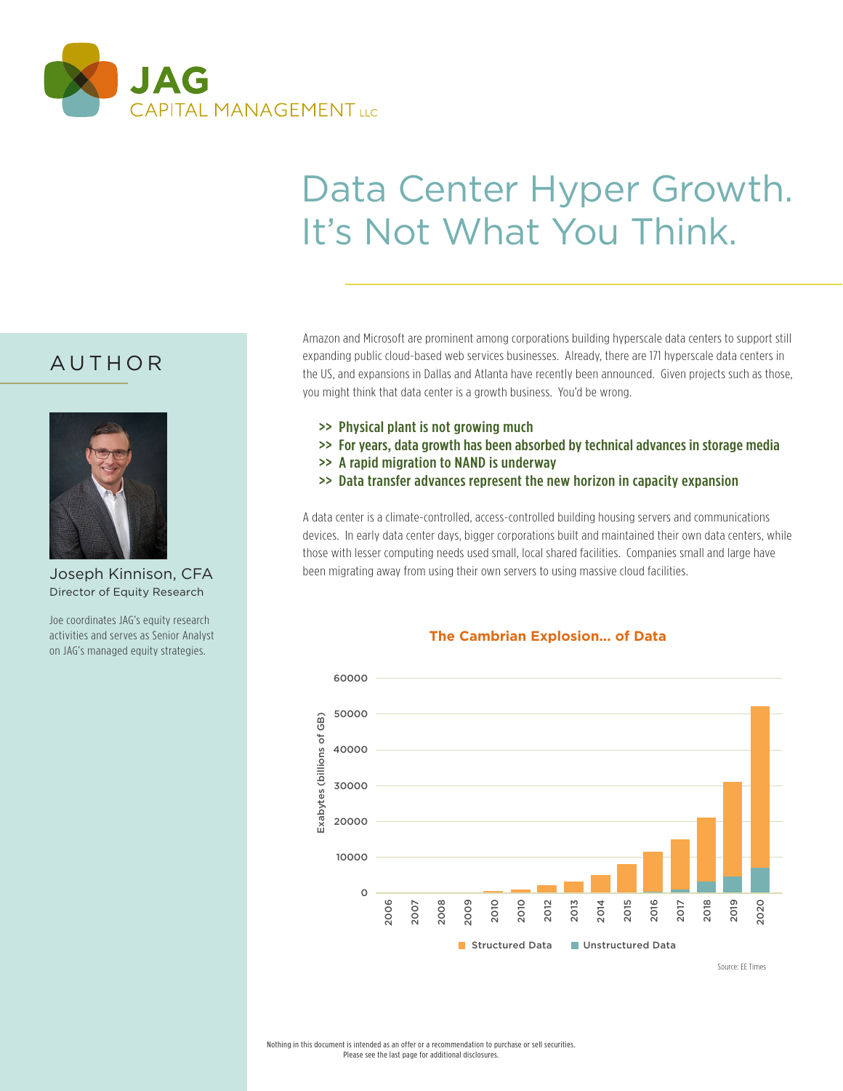

# Data Center Hyper Growth. It's Not What You Think.

### AUTHOR



Joseph Kinnison, CFA Director of Equity Research

Joe coordinates JAG's equity research activities and serves as Senior Analyst on JAG's managed equity strategies.

Amazon and Microsoft are prominent among corporations building hyperscale data centers to support still expanding public cloud-based web services businesses. Already, there are 171 hyperscale data centers in the US, and expansions in Dallas and Atlanta have recently been announced. Given projects such as those, you might think that data center is a growth business. You'd be wrong.

- >> Physical plant is not growing much
- >> For years, data growth has been absorbed by technical advances in storage media
- >> A rapid migration to NAND is underway
- >> Data transfer advances represent the new horizon in capacity expansion

A data center is a climate-controlled, access-controlled building housing servers and communications devices. In early data center days, bigger corporations built and maintained their own data centers, while those with lesser computing needs used small, local shared facilities. Companies small and large have been migrating away from using their own servers to using massive cloud facilities.



#### **The Cambrian Explosion... of Data**

Source: EE Times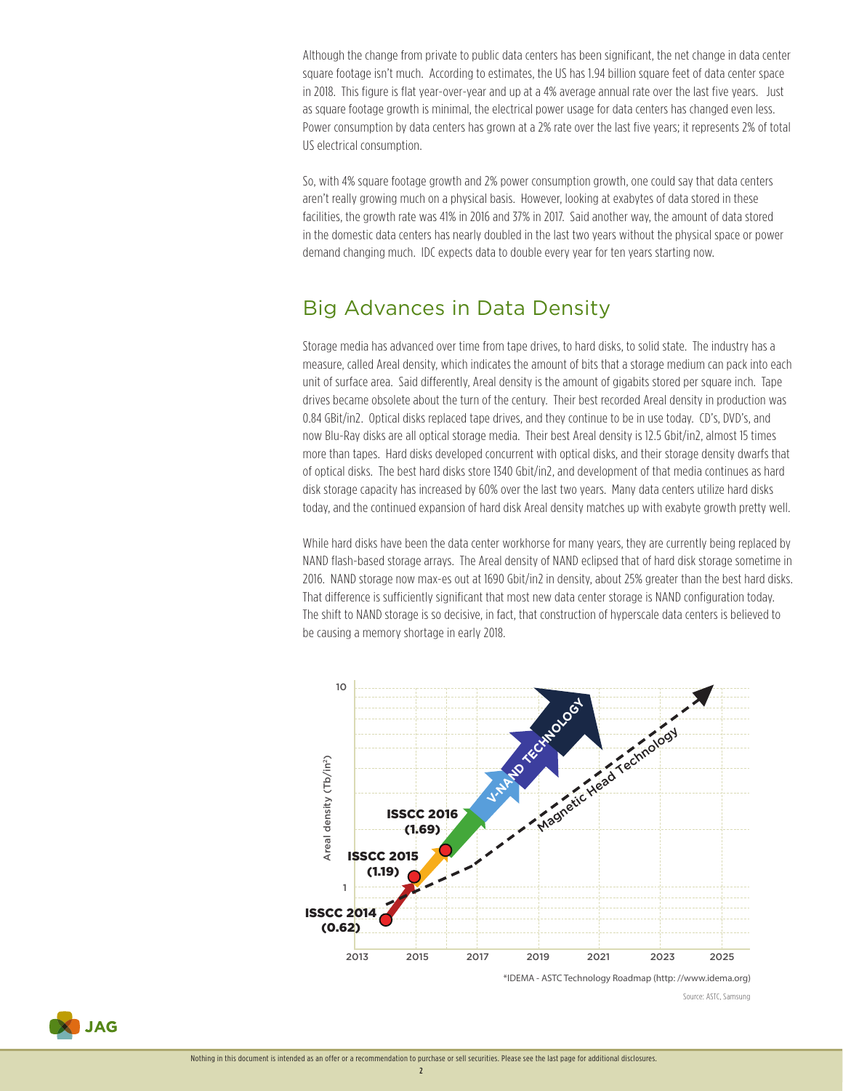Although the change from private to public data centers has been significant, the net change in data center square footage isn't much. According to estimates, the US has 1.94 billion square feet of data center space in 2018. This figure is flat year-over-year and up at a 4% average annual rate over the last five years. Just as square footage growth is minimal, the electrical power usage for data centers has changed even less. Power consumption by data centers has grown at a 2% rate over the last five years; it represents 2% of total US electrical consumption.

So, with 4% square footage growth and 2% power consumption growth, one could say that data centers aren't really growing much on a physical basis. However, looking at exabytes of data stored in these facilities, the growth rate was 41% in 2016 and 37% in 2017. Said another way, the amount of data stored in the domestic data centers has nearly doubled in the last two years without the physical space or power demand changing much. IDC expects data to double every year for ten years starting now.

### Big Advances in Data Density

Storage media has advanced over time from tape drives, to hard disks, to solid state. The industry has a measure, called Areal density, which indicates the amount of bits that a storage medium can pack into each unit of surface area. Said differently, Areal density is the amount of gigabits stored per square inch. Tape drives became obsolete about the turn of the century. Their best recorded Areal density in production was 0.84 GBit/in2. Optical disks replaced tape drives, and they continue to be in use today. CD's, DVD's, and now Blu-Ray disks are all optical storage media. Their best Areal density is 12.5 Gbit/in2, almost 15 times more than tapes. Hard disks developed concurrent with optical disks, and their storage density dwarfs that of optical disks. The best hard disks store 1340 Gbit/in2, and development of that media continues as hard disk storage capacity has increased by 60% over the last two years. Many data centers utilize hard disks today, and the continued expansion of hard disk Areal density matches up with exabyte growth pretty well.

While hard disks have been the data center workhorse for many years, they are currently being replaced by NAND flash-based storage arrays. The Areal density of NAND eclipsed that of hard disk storage sometime in 2016. NAND storage now max-es out at 1690 Gbit/in2 in density, about 25% greater than the best hard disks. That difference is sufficiently significant that most new data center storage is NAND configuration today. The shift to NAND storage is so decisive, in fact, that construction of hyperscale data centers is believed to be causing a memory shortage in early 2018.



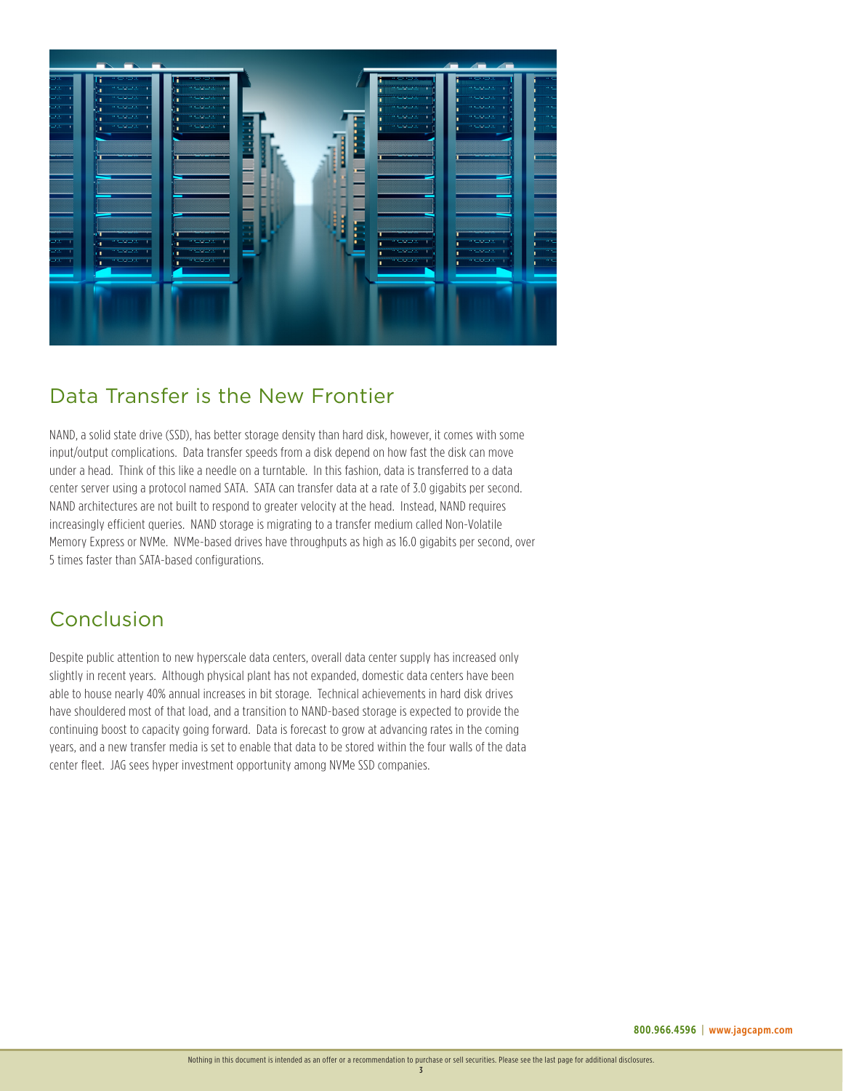

## Data Transfer is the New Frontier

NAND, a solid state drive (SSD), has better storage density than hard disk, however, it comes with some input/output complications. Data transfer speeds from a disk depend on how fast the disk can move under a head. Think of this like a needle on a turntable. In this fashion, data is transferred to a data center server using a protocol named SATA. SATA can transfer data at a rate of 3.0 gigabits per second. NAND architectures are not built to respond to greater velocity at the head. Instead, NAND requires increasingly efficient queries. NAND storage is migrating to a transfer medium called Non-Volatile Memory Express or NVMe. NVMe-based drives have throughputs as high as 16.0 gigabits per second, over 5 times faster than SATA-based configurations.

### Conclusion

Despite public attention to new hyperscale data centers, overall data center supply has increased only slightly in recent years. Although physical plant has not expanded, domestic data centers have been able to house nearly 40% annual increases in bit storage. Technical achievements in hard disk drives have shouldered most of that load, and a transition to NAND-based storage is expected to provide the continuing boost to capacity going forward. Data is forecast to grow at advancing rates in the coming years, and a new transfer media is set to enable that data to be stored within the four walls of the data center fleet. JAG sees hyper investment opportunity among NVMe SSD companies.